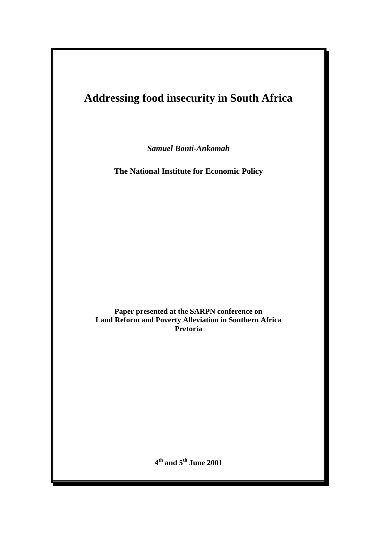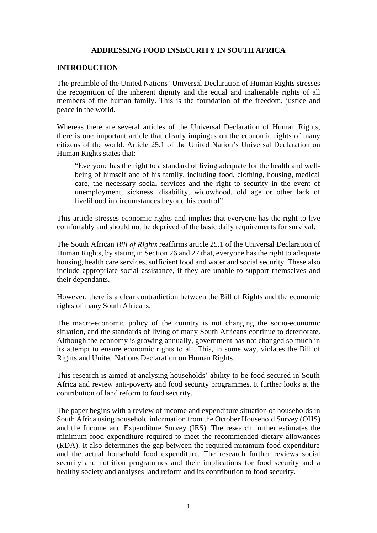### **ADDRESSING FOOD INSECURITY IN SOUTH AFRICA**

#### **INTRODUCTION**

The preamble of the United Nations' Universal Declaration of Human Rights stresses the recognition of the inherent dignity and the equal and inalienable rights of all members of the human family. This is the foundation of the freedom, justice and peace in the world.

Whereas there are several articles of the Universal Declaration of Human Rights, there is one important article that clearly impinges on the economic rights of many citizens of the world. Article 25.1 of the United Nation's Universal Declaration on Human Rights states that:

"Everyone has the right to a standard of living adequate for the health and wellbeing of himself and of his family, including food, clothing, housing, medical care, the necessary social services and the right to security in the event of unemployment, sickness, disability, widowhood, old age or other lack of livelihood in circumstances beyond his control".

This article stresses economic rights and implies that everyone has the right to live comfortably and should not be deprived of the basic daily requirements for survival.

The South African *Bill of Rights* reaffirms article 25.1 of the Universal Declaration of Human Rights, by stating in Section 26 and 27 that, everyone has the right to adequate housing, health care services, sufficient food and water and social security. These also include appropriate social assistance, if they are unable to support themselves and their dependants.

However, there is a clear contradiction between the Bill of Rights and the economic rights of many South Africans.

The macro-economic policy of the country is not changing the socio-economic situation, and the standards of living of many South Africans continue to deteriorate. Although the economy is growing annually, government has not changed so much in its attempt to ensure economic rights to all. This, in some way, violates the Bill of Rights and United Nations Declaration on Human Rights.

This research is aimed at analysing households' ability to be food secured in South Africa and review anti-poverty and food security programmes. It further looks at the contribution of land reform to food security.

The paper begins with a review of income and expenditure situation of households in South Africa using household information from the October Household Survey (OHS) and the Income and Expenditure Survey (IES). The research further estimates the minimum food expenditure required to meet the recommended dietary allowances (RDA). It also determines the gap between the required minimum food expenditure and the actual household food expenditure. The research further reviews social security and nutrition programmes and their implications for food security and a healthy society and analyses land reform and its contribution to food security.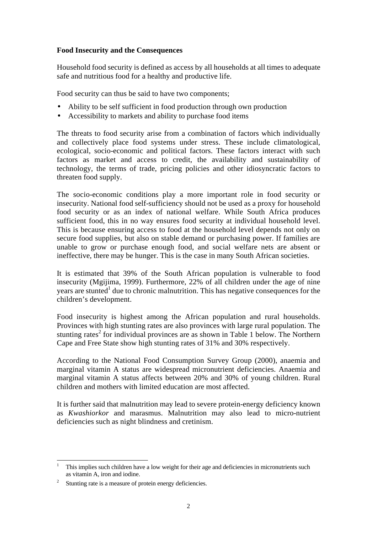# **Food Insecurity and the Consequences**

Household food security is defined as access by all households at all times to adequate safe and nutritious food for a healthy and productive life.

Food security can thus be said to have two components;

- Ability to be self sufficient in food production through own production
- Accessibility to markets and ability to purchase food items

The threats to food security arise from a combination of factors which individually and collectively place food systems under stress. These include climatological, ecological, socio-economic and political factors. These factors interact with such factors as market and access to credit, the availability and sustainability of technology, the terms of trade, pricing policies and other idiosyncratic factors to threaten food supply.

The socio-economic conditions play a more important role in food security or insecurity. National food self-sufficiency should not be used as a proxy for household food security or as an index of national welfare. While South Africa produces sufficient food, this in no way ensures food security at individual household level. This is because ensuring access to food at the household level depends not only on secure food supplies, but also on stable demand or purchasing power. If families are unable to grow or purchase enough food, and social welfare nets are absent or ineffective, there may be hunger. This is the case in many South African societies.

It is estimated that 39% of the South African population is vulnerable to food insecurity (Mgijima, 1999). Furthermore, 22% of all children under the age of nine years are stunted<sup>1</sup> due to chronic malnutrition. This has negative consequences for the children's development.

Food insecurity is highest among the African population and rural households. Provinces with high stunting rates are also provinces with large rural population. The stunting rates<sup>2</sup> for individual provinces are as shown in Table 1 below. The Northern Cape and Free State show high stunting rates of 31% and 30% respectively.

According to the National Food Consumption Survey Group (2000), anaemia and marginal vitamin A status are widespread micronutrient deficiencies. Anaemia and marginal vitamin A status affects between 20% and 30% of young children. Rural children and mothers with limited education are most affected.

It is further said that malnutrition may lead to severe protein-energy deficiency known as *Kwashiorkor* and marasmus. Malnutrition may also lead to micro-nutrient deficiencies such as night blindness and cretinism.

<sup>-</sup><sup>1</sup> This implies such children have a low weight for their age and deficiencies in micronutrients such as vitamin A, iron and iodine.

 $2^2$  Stunting rate is a measure of protein energy deficiencies.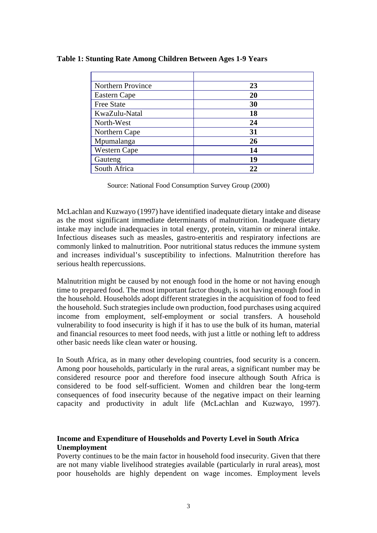| Northern Province   | 23 |
|---------------------|----|
| Eastern Cape        | 20 |
| <b>Free State</b>   | 30 |
| KwaZulu-Natal       | 18 |
| North-West          | 24 |
| Northern Cape       | 31 |
| Mpumalanga          | 26 |
| <b>Western Cape</b> | 14 |
| Gauteng             | 19 |
| South Africa        | 22 |

**Table 1: Stunting Rate Among Children Between Ages 1-9 Years**

Source: National Food Consumption Survey Group (2000)

McLachlan and Kuzwayo (1997) have identified inadequate dietary intake and disease as the most significant immediate determinants of malnutrition. Inadequate dietary intake may include inadequacies in total energy, protein, vitamin or mineral intake. Infectious diseases such as measles, gastro-enteritis and respiratory infections are commonly linked to malnutrition. Poor nutritional status reduces the immune system and increases individual's susceptibility to infections. Malnutrition therefore has serious health repercussions.

Malnutrition might be caused by not enough food in the home or not having enough time to prepared food. The most important factor though, is not having enough food in the household. Households adopt different strategies in the acquisition of food to feed the household. Such strategies include own production, food purchases using acquired income from employment, self-employment or social transfers. A household vulnerability to food insecurity is high if it has to use the bulk of its human, material and financial resources to meet food needs, with just a little or nothing left to address other basic needs like clean water or housing.

In South Africa, as in many other developing countries, food security is a concern. Among poor households, particularly in the rural areas, a significant number may be considered resource poor and therefore food insecure although South Africa is considered to be food self-sufficient. Women and children bear the long-term consequences of food insecurity because of the negative impact on their learning capacity and productivity in adult life (McLachlan and Kuzwayo, 1997).

## **Income and Expenditure of Households and Poverty Level in South Africa Unemployment**

Poverty continues to be the main factor in household food insecurity. Given that there are not many viable livelihood strategies available (particularly in rural areas), most poor households are highly dependent on wage incomes. Employment levels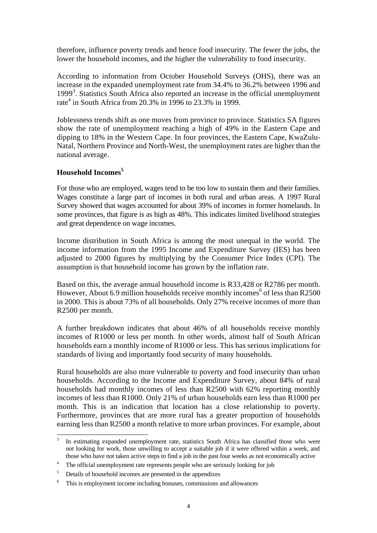therefore, influence poverty trends and hence food insecurity. The fewer the jobs, the lower the household incomes, and the higher the vulnerability to food insecurity.

According to information from October Household Surveys (OHS), there was an increase in the expanded unemployment rate from 34.4% to 36.2% between 1996 and 1999<sup>3</sup>. Statistics South Africa also reported an increase in the official unemployment rate<sup>4</sup> in South Africa from 20.3% in 1996 to 23.3% in 1999.

Joblessness trends shift as one moves from province to province. Statistics SA figures show the rate of unemployment reaching a high of 49% in the Eastern Cape and dipping to 18% in the Western Cape. In four provinces, the Eastern Cape, KwaZulu-Natal, Northern Province and North-West, the unemployment rates are higher than the national average.

## **Household Incomes<sup>5</sup>**

For those who are employed, wages tend to be too low to sustain them and their families. Wages constitute a large part of incomes in both rural and urban areas. A 1997 Rural Survey showed that wages accounted for about 39% of incomes in former homelands. In some provinces, that figure is as high as 48%. This indicates limited livelihood strategies and great dependence on wage incomes.

Income distribution in South Africa is among the most unequal in the world. The income information from the 1995 Income and Expenditure Survey (IES) has been adjusted to 2000 figures by multiplying by the Consumer Price Index (CPI). The assumption is that household income has grown by the inflation rate.

Based on this, the average annual household income is R33,428 or R2786 per month. However, About 6.9 million households receive monthly incomes<sup>6</sup> of less than R2500 in 2000. This is about 73% of all households. Only 27% receive incomes of more than R2500 per month.

A further breakdown indicates that about 46% of all households receive monthly incomes of R1000 or less per month. In other words, almost half of South African households earn a monthly income of R1000 or less. This has serious implications for standards of living and importantly food security of many households.

Rural households are also more vulnerable to poverty and food insecurity than urban households. According to the Income and Expenditure Survey, about 84% of rural households had monthly incomes of less than R2500 with 62% reporting monthly incomes of less than R1000. Only 21% of urban households earn less than R1000 per month. This is an indication that location has a close relationship to poverty. Furthermore, provinces that are more rural has a greater proportion of households earning less than R2500 a month relative to more urban provinces. For example, about

 3 In estimating expanded unemployment rate, statistics South Africa has classified those who were not looking for work, those unwilling to accept a suitable job if it were offered within a week, and those who have not taken active steps to find a job in the past four weeks as not economically active

<sup>&</sup>lt;sup>4</sup> The official unemployment rate represents people who are seriously looking for job

<sup>&</sup>lt;sup>5</sup> Details of household incomes are presented in the appendixes

<sup>6</sup> This is employment income including bonuses, commissions and allowances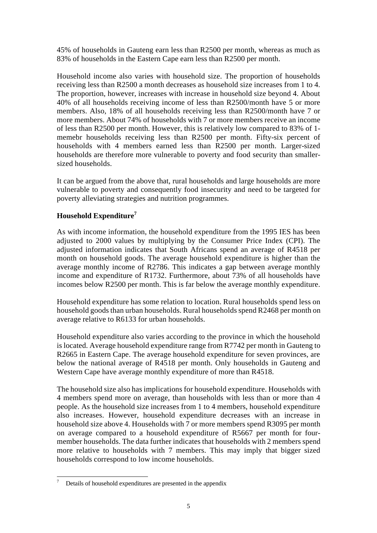45% of households in Gauteng earn less than R2500 per month, whereas as much as 83% of households in the Eastern Cape earn less than R2500 per month.

Household income also varies with household size. The proportion of households receiving less than R2500 a month decreases as household size increases from 1 to 4. The proportion, however, increases with increase in household size beyond 4. About 40% of all households receiving income of less than R2500/month have 5 or more members. Also, 18% of all households receiving less than R2500/month have 7 or more members. About 74% of households with 7 or more members receive an income of less than R2500 per month. However, this is relatively low compared to 83% of 1 memebr households receiving less than R2500 per month. Fifty-six percent of households with 4 members earned less than R2500 per month. Larger-sized households are therefore more vulnerable to poverty and food security than smallersized households.

It can be argued from the above that, rural households and large households are more vulnerable to poverty and consequently food insecurity and need to be targeted for poverty alleviating strategies and nutrition programmes.

# **Household Expenditure<sup>7</sup>**

As with income information, the household expenditure from the 1995 IES has been adjusted to 2000 values by multiplying by the Consumer Price Index (CPI). The adjusted information indicates that South Africans spend an average of R4518 per month on household goods. The average household expenditure is higher than the average monthly income of R2786. This indicates a gap between average monthly income and expenditure of R1732. Furthermore, about 73% of all households have incomes below R2500 per month. This is far below the average monthly expenditure.

Household expenditure has some relation to location. Rural households spend less on household goods than urban households. Rural households spend R2468 per month on average relative to R6133 for urban households.

Household expenditure also varies according to the province in which the household is located. Average household expenditure range from R7742 per month in Gauteng to R2665 in Eastern Cape. The average household expenditure for seven provinces, are below the national average of R4518 per month. Only households in Gauteng and Western Cape have average monthly expenditure of more than R4518.

The household size also has implications for household expenditure. Households with 4 members spend more on average, than households with less than or more than 4 people. As the household size increases from 1 to 4 members, household expenditure also increases. However, household expenditure decreases with an increase in household size above 4. Households with 7 or more members spend R3095 per month on average compared to a household expenditure of R5667 per month for fourmember households. The data further indicates that households with 2 members spend more relative to households with 7 members. This may imply that bigger sized households correspond to low income households.

 $\tau$ <sup>7</sup> Details of household expenditures are presented in the appendix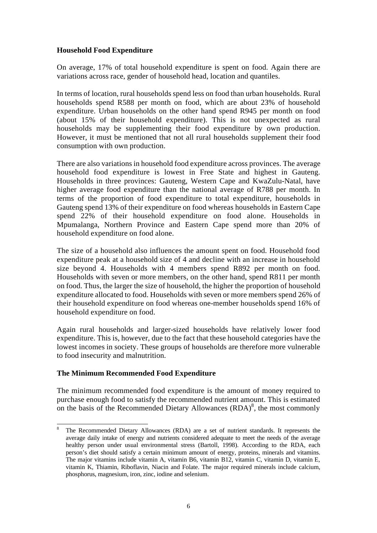## **Household Food Expenditure**

On average, 17% of total household expenditure is spent on food. Again there are variations across race, gender of household head, location and quantiles.

In terms of location, rural households spend less on food than urban households. Rural households spend R588 per month on food, which are about 23% of household expenditure. Urban households on the other hand spend R945 per month on food (about 15% of their household expenditure). This is not unexpected as rural households may be supplementing their food expenditure by own production. However, it must be mentioned that not all rural households supplement their food consumption with own production.

There are also variations in household food expenditure across provinces. The average household food expenditure is lowest in Free State and highest in Gauteng. Households in three provinces: Gauteng, Western Cape and KwaZulu-Natal, have higher average food expenditure than the national average of R788 per month. In terms of the proportion of food expenditure to total expenditure, households in Gauteng spend 13% of their expenditure on food whereas households in Eastern Cape spend 22% of their household expenditure on food alone. Households in Mpumalanga, Northern Province and Eastern Cape spend more than 20% of household expenditure on food alone.

The size of a household also influences the amount spent on food. Household food expenditure peak at a household size of 4 and decline with an increase in household size beyond 4. Households with 4 members spend R892 per month on food. Households with seven or more members, on the other hand, spend R811 per month on food. Thus, the larger the size of household, the higher the proportion of household expenditure allocated to food. Households with seven or more members spend 26% of their household expenditure on food whereas one-member households spend 16% of household expenditure on food.

Again rural households and larger-sized households have relatively lower food expenditure. This is, however, due to the fact that these household categories have the lowest incomes in society. These groups of households are therefore more vulnerable to food insecurity and malnutrition.

# **The Minimum Recommended Food Expenditure**

The minimum recommended food expenditure is the amount of money required to purchase enough food to satisfy the recommended nutrient amount. This is estimated on the basis of the Recommended Dietary Allowances  $(RDA)^8$ , the most commonly

<sup>8</sup> <sup>8</sup> The Recommended Dietary Allowances (RDA) are a set of nutrient standards. It represents the average daily intake of energy and nutrients considered adequate to meet the needs of the average healthy person under usual environmental stress (Bartoll, 1998). According to the RDA, each person's diet should satisfy a certain minimum amount of energy, proteins, minerals and vitamins. The major vitamins include vitamin A, vitamin B6, vitamin B12, vitamin C, vitamin D, vitamin E, vitamin K, Thiamin, Riboflavin, Niacin and Folate. The major required minerals include calcium, phosphorus, magnesium, iron, zinc, iodine and selenium.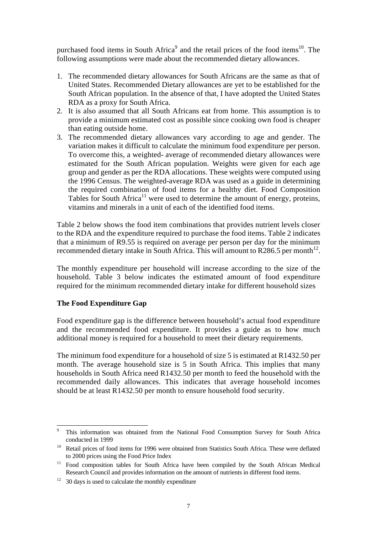purchased food items in South Africa<sup>9</sup> and the retail prices of the food items<sup>10</sup>. The following assumptions were made about the recommended dietary allowances.

- 1. The recommended dietary allowances for South Africans are the same as that of United States. Recommended Dietary allowances are yet to be established for the South African population. In the absence of that, I have adopted the United States RDA as a proxy for South Africa.
- 2. It is also assumed that all South Africans eat from home. This assumption is to provide a minimum estimated cost as possible since cooking own food is cheaper than eating outside home.
- 3. The recommended dietary allowances vary according to age and gender. The variation makes it difficult to calculate the minimum food expenditure per person. To overcome this, a weighted- average of recommended dietary allowances were estimated for the South African population. Weights were given for each age group and gender as per the RDA allocations. These weights were computed using the 1996 Census. The weighted-average RDA was used as a guide in determining the required combination of food items for a healthy diet. Food Composition Tables for South Africa<sup>11</sup> were used to determine the amount of energy, proteins, vitamins and minerals in a unit of each of the identified food items.

Table 2 below shows the food item combinations that provides nutrient levels closer to the RDA and the expenditure required to purchase the food items. Table 2 indicates that a minimum of R9.55 is required on average per person per day for the minimum recommended dietary intake in South Africa. This will amount to R286.5 per month<sup>12</sup>.

The monthly expenditure per household will increase according to the size of the household. Table 3 below indicates the estimated amount of food expenditure required for the minimum recommended dietary intake for different household sizes

# **The Food Expenditure Gap**

Food expenditure gap is the difference between household's actual food expenditure and the recommended food expenditure. It provides a guide as to how much additional money is required for a household to meet their dietary requirements.

The minimum food expenditure for a household of size 5 is estimated at R1432.50 per month. The average household size is 5 in South Africa. This implies that many households in South Africa need R1432.50 per month to feed the household with the recommended daily allowances. This indicates that average household incomes should be at least R1432.50 per month to ensure household food security.

<sup>-</sup><sup>9</sup> This information was obtained from the National Food Consumption Survey for South Africa conducted in 1999

<sup>&</sup>lt;sup>10</sup> Retail prices of food items for 1996 were obtained from Statistics South Africa. These were deflated to 2000 prices using the Food Price Index

<sup>&</sup>lt;sup>11</sup> Food composition tables for South Africa have been compiled by the South African Medical Research Council and provides information on the amount of nutrients in different food items.

 $12$  30 days is used to calculate the monthly expenditure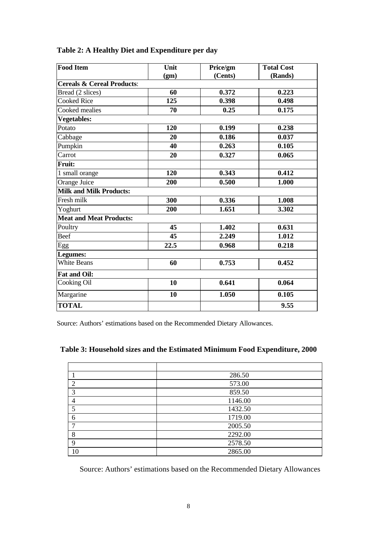| <b>Food Item</b>                      | Unit |                                | <b>Total Cost</b> |  |  |  |  |
|---------------------------------------|------|--------------------------------|-------------------|--|--|--|--|
|                                       | (gm) | Price/gm<br>(Cents)<br>(Rands) |                   |  |  |  |  |
| <b>Cereals &amp; Cereal Products:</b> |      |                                |                   |  |  |  |  |
| Bread (2 slices)                      | 60   | 0.372                          | 0.223             |  |  |  |  |
| <b>Cooked Rice</b>                    | 125  | 0.398<br>0.498                 |                   |  |  |  |  |
| Cooked mealies                        | 70   | 0.25<br>0.175                  |                   |  |  |  |  |
| <b>Vegetables:</b>                    |      |                                |                   |  |  |  |  |
| Potato                                | 120  | 0.238<br>0.199                 |                   |  |  |  |  |
| Cabbage                               | 20   | 0.186                          | 0.037             |  |  |  |  |
| Pumpkin                               | 40   | 0.263                          | 0.105             |  |  |  |  |
| Carrot                                | 20   | 0.327                          | 0.065             |  |  |  |  |
| <b>Fruit:</b>                         |      |                                |                   |  |  |  |  |
| 1 small orange                        | 120  | 0.343                          | 0.412             |  |  |  |  |
| Orange Juice                          | 200  | 0.500                          | 1.000             |  |  |  |  |
| <b>Milk and Milk Products:</b>        |      |                                |                   |  |  |  |  |
| Fresh milk                            | 300  | 0.336<br>1.008                 |                   |  |  |  |  |
| Yoghurt                               | 200  | 1.651                          | 3.302             |  |  |  |  |
| <b>Meat and Meat Products:</b>        |      |                                |                   |  |  |  |  |
| Poultry                               | 45   | 0.631<br>1.402                 |                   |  |  |  |  |
| Beef                                  | 45   | 2.249                          | 1.012             |  |  |  |  |
| Egg                                   | 22.5 | 0.968                          | 0.218             |  |  |  |  |
| Legumes:                              |      |                                |                   |  |  |  |  |
| <b>White Beans</b>                    | 60   | 0.753<br>0.452                 |                   |  |  |  |  |
| <b>Fat and Oil:</b>                   |      |                                |                   |  |  |  |  |
| Cooking Oil                           | 10   | 0.641<br>0.064                 |                   |  |  |  |  |
| Margarine                             | 10   | 1.050                          | 0.105             |  |  |  |  |
| <b>TOTAL</b>                          |      |                                | 9.55              |  |  |  |  |

# **Table 2: A Healthy Diet and Expenditure per day**

Source: Authors' estimations based on the Recommended Dietary Allowances.

# **Table 3: Household sizes and the Estimated Minimum Food Expenditure, 2000**

|               | 286.50  |
|---------------|---------|
| $\mathcal{D}$ | 573.00  |
| 3             | 859.50  |
|               | 1146.00 |
| 5             | 1432.50 |
| 6             | 1719.00 |
| ⇁             | 2005.50 |
| 8             | 2292.00 |
| 9             | 2578.50 |
| 10            | 2865.00 |

Source: Authors' estimations based on the Recommended Dietary Allowances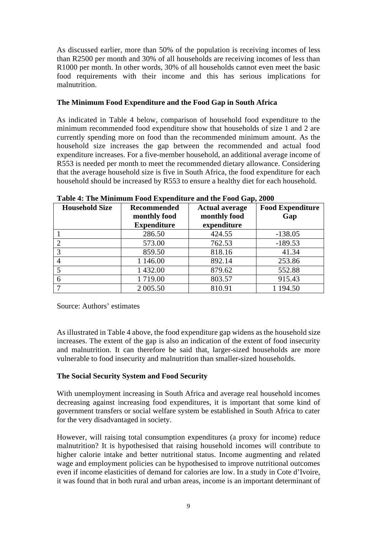As discussed earlier, more than 50% of the population is receiving incomes of less than R2500 per month and 30% of all households are receiving incomes of less than R1000 per month. In other words, 30% of all households cannot even meet the basic food requirements with their income and this has serious implications for malnutrition.

## **The Minimum Food Expenditure and the Food Gap in South Africa**

As indicated in Table 4 below, comparison of household food expenditure to the minimum recommended food expenditure show that households of size 1 and 2 are currently spending more on food than the recommended minimum amount. As the household size increases the gap between the recommended and actual food expenditure increases. For a five-member household, an additional average income of R553 is needed per month to meet the recommended dietary allowance. Considering that the average household size is five in South Africa, the food expenditure for each household should be increased by R553 to ensure a healthy diet for each household.

| <b>Household Size</b> | <b>Recommended</b> | <b>Actual average</b> | <b>Food Expenditure</b> |  |
|-----------------------|--------------------|-----------------------|-------------------------|--|
|                       | monthly food       | monthly food          | Gap                     |  |
|                       | <b>Expenditure</b> | expenditure           |                         |  |
|                       | 286.50             | 424.55                | $-138.05$               |  |
|                       | 573.00             | 762.53                | $-189.53$               |  |
|                       | 859.50             | 818.16                | 41.34                   |  |
|                       | 1 146.00           | 892.14                | 253.86                  |  |
|                       | 1 432.00           | 879.62                | 552.88                  |  |
| 6                     | 1719.00            | 803.57                | 915.43                  |  |
|                       | 2 005.50           | 810.91                | 1 194.50                |  |

**Table 4: The Minimum Food Expenditure and the Food Gap, 2000**

Source: Authors' estimates

As illustrated in Table 4 above, the food expenditure gap widens as the household size increases. The extent of the gap is also an indication of the extent of food insecurity and malnutrition. It can therefore be said that, larger-sized households are more vulnerable to food insecurity and malnutrition than smaller-sized households.

# **The Social Security System and Food Security**

With unemployment increasing in South Africa and average real household incomes decreasing against increasing food expenditures, it is important that some kind of government transfers or social welfare system be established in South Africa to cater for the very disadvantaged in society.

However, will raising total consumption expenditures (a proxy for income) reduce malnutrition? It is hypothesised that raising household incomes will contribute to higher calorie intake and better nutritional status. Income augmenting and related wage and employment policies can be hypothesised to improve nutritional outcomes even if income elasticities of demand for calories are low. In a study in Cote d'Ivoire, it was found that in both rural and urban areas, income is an important determinant of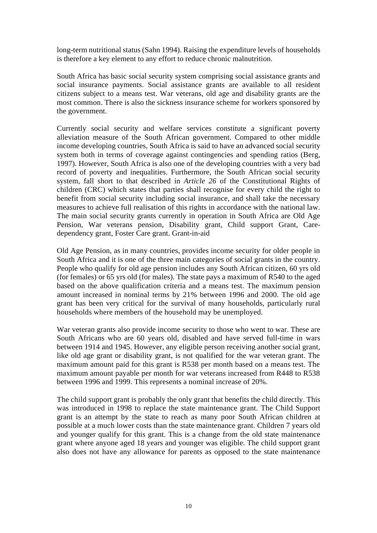long-term nutritional status (Sahn 1994). Raising the expenditure levels of households is therefore a key element to any effort to reduce chronic malnutrition.

South Africa has basic social security system comprising social assistance grants and social insurance payments. Social assistance grants are available to all resident citizens subject to a means test. War veterans, old age and disability grants are the most common. There is also the sickness insurance scheme for workers sponsored by the government.

Currently social security and welfare services constitute a significant poverty alleviation measure of the South African government. Compared to other middle income developing countries, South Africa is said to have an advanced social security system both in terms of coverage against contingencies and spending ratios (Berg, 1997). However, South Africa is also one of the developing countries with a very bad record of poverty and inequalities. Furthermore, the South African social security system, fall short to that described in *Article 26* of the Constitutional Rights of children (CRC) which states that parties shall recognise for every child the right to benefit from social security including social insurance, and shall take the necessary measures to achieve full realisation of this rights in accordance with the national law. The main social security grants currently in operation in South Africa are Old Age Pension, War veterans pension, Disability grant, Child support Grant, Caredependency grant, Foster Care grant. Grant-in-aid

Old Age Pension, as in many countries, provides income security for older people in South Africa and it is one of the three main categories of social grants in the country. People who qualify for old age pension includes any South African citizen, 60 yrs old (for females) or 65 yrs old (for males). The state pays a maximum of R540 to the aged based on the above qualification criteria and a means test. The maximum pension amount increased in nominal terms by 21% between 1996 and 2000. The old age grant has been very critical for the survival of many households, particularly rural households where members of the household may be unemployed.

War veteran grants also provide income security to those who went to war. These are South Africans who are 60 years old, disabled and have served full-time in wars between 1914 and 1945. However, any eligible person receiving another social grant, like old age grant or disability grant, is not qualified for the war veteran grant. The maximum amount paid for this grant is R538 per month based on a means test. The maximum amount payable per month for war veterans increased from R448 to R538 between 1996 and 1999. This represents a nominal increase of 20%.

The child support grant is probably the only grant that benefits the child directly. This was introduced in 1998 to replace the state maintenance grant. The Child Support grant is an attempt by the state to reach as many poor South African children at possible at a much lower costs than the state maintenance grant. Children 7 years old and younger qualify for this grant. This is a change from the old state maintenance grant where anyone aged 18 years and younger was eligible. The child support grant also does not have any allowance for parents as opposed to the state maintenance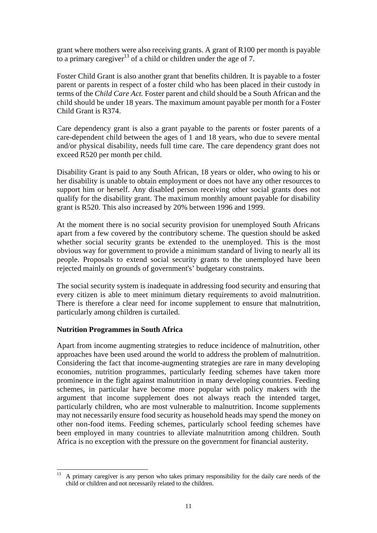grant where mothers were also receiving grants. A grant of R100 per month is payable to a primary caregiver<sup>13</sup> of a child or children under the age of 7.

Foster Child Grant is also another grant that benefits children. It is payable to a foster parent or parents in respect of a foster child who has been placed in their custody in terms of the *Child Care Act.* Foster parent and child should be a South African and the child should be under 18 years. The maximum amount payable per month for a Foster Child Grant is R374.

Care dependency grant is also a grant payable to the parents or foster parents of a care-dependent child between the ages of 1 and 18 years, who due to severe mental and/or physical disability, needs full time care. The care dependency grant does not exceed R520 per month per child.

Disability Grant is paid to any South African, 18 years or older, who owing to his or her disability is unable to obtain employment or does not have any other resources to support him or herself. Any disabled person receiving other social grants does not qualify for the disability grant. The maximum monthly amount payable for disability grant is R520. This also increased by 20% between 1996 and 1999.

At the moment there is no social security provision for unemployed South Africans apart from a few covered by the contributory scheme. The question should be asked whether social security grants be extended to the unemployed. This is the most obvious way for government to provide a minimum standard of living to nearly all its people. Proposals to extend social security grants to the unemployed have been rejected mainly on grounds of government's' budgetary constraints.

The social security system is inadequate in addressing food security and ensuring that every citizen is able to meet minimum dietary requirements to avoid malnutrition. There is therefore a clear need for income supplement to ensure that malnutrition, particularly among children is curtailed.

# **Nutrition Programmes in South Africa**

Apart from income augmenting strategies to reduce incidence of malnutrition, other approaches have been used around the world to address the problem of malnutrition. Considering the fact that income-augmenting strategies are rare in many developing economies, nutrition programmes, particularly feeding schemes have taken more prominence in the fight against malnutrition in many developing countries. Feeding schemes, in particular have become more popular with policy makers with the argument that income supplement does not always reach the intended target, particularly children, who are most vulnerable to malnutrition. Income supplements may not necessarily ensure food security as household heads may spend the money on other non-food items. Feeding schemes, particularly school feeding schemes have been employed in many countries to alleviate malnutrition among children. South Africa is no exception with the pressure on the government for financial austerity.

<sup>13</sup> <sup>13</sup> A primary caregiver is any person who takes primary responsibility for the daily care needs of the child or children and not necessarily related to the children.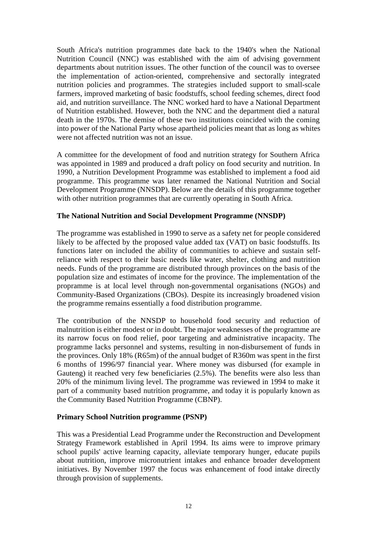South Africa's nutrition programmes date back to the 1940's when the National Nutrition Council (NNC) was established with the aim of advising government departments about nutrition issues. The other function of the council was to oversee the implementation of action-oriented, comprehensive and sectorally integrated nutrition policies and programmes. The strategies included support to small-scale farmers, improved marketing of basic foodstuffs, school feeding schemes, direct food aid, and nutrition surveillance. The NNC worked hard to have a National Department of Nutrition established. However, both the NNC and the department died a natural death in the 1970s. The demise of these two institutions coincided with the coming into power of the National Party whose apartheid policies meant that as long as whites were not affected nutrition was not an issue.

A committee for the development of food and nutrition strategy for Southern Africa was appointed in 1989 and produced a draft policy on food security and nutrition. In 1990, a Nutrition Development Programme was established to implement a food aid programme. This programme was later renamed the National Nutrition and Social Development Programme (NNSDP). Below are the details of this programme together with other nutrition programmes that are currently operating in South Africa.

## **The National Nutrition and Social Development Programme (NNSDP)**

The programme was established in 1990 to serve as a safety net for people considered likely to be affected by the proposed value added tax (VAT) on basic foodstuffs. Its functions later on included the ability of communities to achieve and sustain selfreliance with respect to their basic needs like water, shelter, clothing and nutrition needs. Funds of the programme are distributed through provinces on the basis of the population size and estimates of income for the province. The implementation of the propramme is at local level through non-governmental organisations (NGOs) and Community-Based Organizations (CBOs). Despite its increasingly broadened vision the programme remains essentially a food distribution programme.

The contribution of the NNSDP to household food security and reduction of malnutrition is either modest or in doubt. The major weaknesses of the programme are its narrow focus on food relief, poor targeting and administrative incapacity. The programme lacks personnel and systems, resulting in non-disbursement of funds in the provinces. Only 18% (R65m) of the annual budget of R360m was spent in the first 6 months of 1996/97 financial year. Where money was disbursed (for example in Gauteng) it reached very few beneficiaries (2.5%). The benefits were also less than 20% of the minimum living level. The programme was reviewed in 1994 to make it part of a community based nutrition programme, and today it is popularly known as the Community Based Nutrition Programme (CBNP).

### **Primary School Nutrition programme (PSNP)**

This was a Presidential Lead Programme under the Reconstruction and Development Strategy Framework established in April 1994. Its aims were to improve primary school pupils' active learning capacity, alleviate temporary hunger, educate pupils about nutrition, improve micronutrient intakes and enhance broader development initiatives. By November 1997 the focus was enhancement of food intake directly through provision of supplements.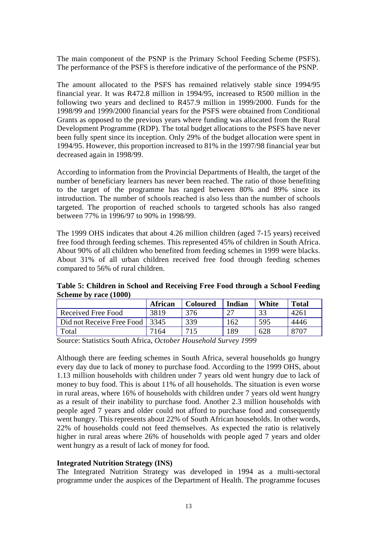The main component of the PSNP is the Primary School Feeding Scheme (PSFS). The performance of the PSFS is therefore indicative of the performance of the PSNP.

The amount allocated to the PSFS has remained relatively stable since 1994/95 financial year. It was R472.8 million in 1994/95, increased to R500 million in the following two years and declined to R457.9 million in 1999/2000. Funds for the 1998/99 and 1999/2000 financial years for the PSFS were obtained from Conditional Grants as opposed to the previous years where funding was allocated from the Rural Development Programme (RDP). The total budget allocations to the PSFS have never been fully spent since its inception. Only 29% of the budget allocation were spent in 1994/95. However, this proportion increased to 81% in the 1997/98 financial year but decreased again in 1998/99.

According to information from the Provincial Departments of Health, the target of the number of beneficiary learners has never been reached. The ratio of those benefiting to the target of the programme has ranged between 80% and 89% since its introduction. The number of schools reached is also less than the number of schools targeted. The proportion of reached schools to targeted schools has also ranged between 77% in 1996/97 to 90% in 1998/99.

The 1999 OHS indicates that about 4.26 million children (aged 7-15 years) received free food through feeding schemes. This represented 45% of children in South Africa. About 90% of all children who benefited from feeding schemes in 1999 were blacks. About 31% of all urban children received free food through feeding schemes compared to 56% of rural children.

**Table 5: Children in School and Receiving Free Food through a School Feeding Scheme by race (1000)**

|                                | African | <b>Coloured</b> | Indian | White | <b>Total</b> |
|--------------------------------|---------|-----------------|--------|-------|--------------|
| Received Free Food             | 3819    | 376             |        | 33    | 4261         |
| Did not Receive Free Food 3345 |         | 339             | 162    | 595   | 4446         |
| Total                          | 7164    |                 | 89     | 628   | 8707         |

Source: Statistics South Africa, *October Household Survey 1999*

Although there are feeding schemes in South Africa, several households go hungry every day due to lack of money to purchase food. According to the 1999 OHS, about 1.13 million households with children under 7 years old went hungry due to lack of money to buy food. This is about 11% of all households. The situation is even worse in rural areas, where 16% of households with children under 7 years old went hungry as a result of their inability to purchase food. Another 2.3 million households with people aged 7 years and older could not afford to purchase food and consequently went hungry. This represents about 22% of South African households. In other words, 22% of households could not feed themselves. As expected the ratio is relatively higher in rural areas where 26% of households with people aged 7 years and older went hungry as a result of lack of money for food.

### **Integrated Nutrition Strategy (INS)**

The Integrated Nutrition Strategy was developed in 1994 as a multi-sectoral programme under the auspices of the Department of Health. The programme focuses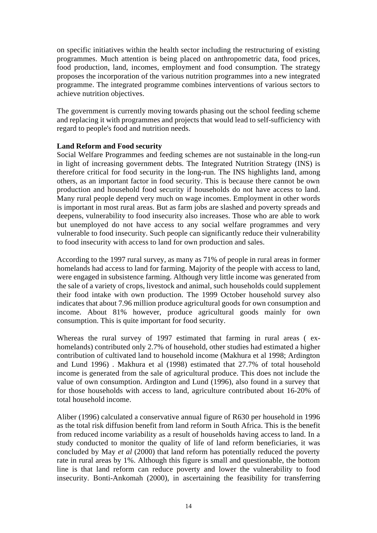on specific initiatives within the health sector including the restructuring of existing programmes. Much attention is being placed on anthropometric data, food prices, food production, land, incomes, employment and food consumption. The strategy proposes the incorporation of the various nutrition programmes into a new integrated programme. The integrated programme combines interventions of various sectors to achieve nutrition objectives.

The government is currently moving towards phasing out the school feeding scheme and replacing it with programmes and projects that would lead to self-sufficiency with regard to people's food and nutrition needs.

## **Land Reform and Food security**

Social Welfare Programmes and feeding schemes are not sustainable in the long-run in light of increasing government debts. The Integrated Nutrition Strategy (INS) is therefore critical for food security in the long-run. The INS highlights land, among others, as an important factor in food security. This is because there cannot be own production and household food security if households do not have access to land. Many rural people depend very much on wage incomes. Employment in other words is important in most rural areas. But as farm jobs are slashed and poverty spreads and deepens, vulnerability to food insecurity also increases. Those who are able to work but unemployed do not have access to any social welfare programmes and very vulnerable to food insecurity. Such people can significantly reduce their vulnerability to food insecurity with access to land for own production and sales.

According to the 1997 rural survey, as many as 71% of people in rural areas in former homelands had access to land for farming. Majority of the people with access to land, were engaged in subsistence farming. Although very little income was generated from the sale of a variety of crops, livestock and animal, such households could supplement their food intake with own production. The 1999 October household survey also indicates that about 7.96 million produce agricultural goods for own consumption and income. About 81% however, produce agricultural goods mainly for own consumption. This is quite important for food security.

Whereas the rural survey of 1997 estimated that farming in rural areas ( exhomelands) contributed only 2.7% of household, other studies had estimated a higher contribution of cultivated land to household income (Makhura et al 1998; Ardington and Lund 1996) . Makhura et al (1998) estimated that 27.7% of total household income is generated from the sale of agricultural produce. This does not include the value of own consumption. Ardington and Lund (1996), also found in a survey that for those households with access to land, agriculture contributed about 16-20% of total household income.

Aliber (1996) calculated a conservative annual figure of R630 per household in 1996 as the total risk diffusion benefit from land reform in South Africa. This is the benefit from reduced income variability as a result of households having access to land. In a study conducted to monitor the quality of life of land reform beneficiaries, it was concluded by May *et al* (2000) that land reform has potentially reduced the poverty rate in rural areas by 1%. Although this figure is small and questionable, the bottom line is that land reform can reduce poverty and lower the vulnerability to food insecurity. Bonti-Ankomah (2000), in ascertaining the feasibility for transferring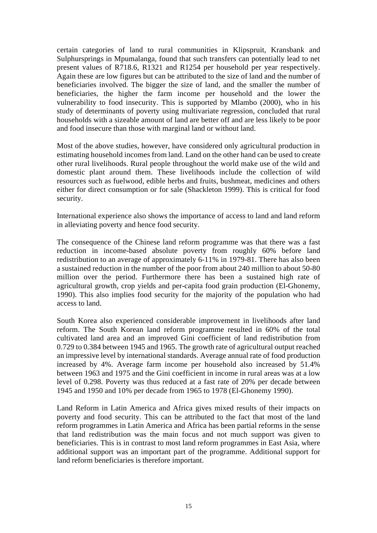certain categories of land to rural communities in Klipspruit, Kransbank and Sulphursprings in Mpumalanga, found that such transfers can potentially lead to net present values of R718.6, R1321 and R1254 per household per year respectively. Again these are low figures but can be attributed to the size of land and the number of beneficiaries involved. The bigger the size of land, and the smaller the number of beneficiaries, the higher the farm income per household and the lower the vulnerability to food insecurity. This is supported by Mlambo (2000), who in his study of determinants of poverty using multivariate regression, concluded that rural households with a sizeable amount of land are better off and are less likely to be poor and food insecure than those with marginal land or without land.

Most of the above studies, however, have considered only agricultural production in estimating household incomes from land. Land on the other hand can be used to create other rural livelihoods. Rural people throughout the world make use of the wild and domestic plant around them. These livelihoods include the collection of wild resources such as fuelwood, edible herbs and fruits, bushmeat, medicines and others either for direct consumption or for sale (Shackleton 1999). This is critical for food security.

International experience also shows the importance of access to land and land reform in alleviating poverty and hence food security.

The consequence of the Chinese land reform programme was that there was a fast reduction in income-based absolute poverty from roughly 60% before land redistribution to an average of approximately 6-11% in 1979-81. There has also been a sustained reduction in the number of the poor from about 240 million to about 50-80 million over the period. Furthermore there has been a sustained high rate of agricultural growth, crop yields and per-capita food grain production (El-Ghonemy, 1990). This also implies food security for the majority of the population who had access to land.

South Korea also experienced considerable improvement in livelihoods after land reform. The South Korean land reform programme resulted in 60% of the total cultivated land area and an improved Gini coefficient of land redistribution from 0.729 to 0.384 between 1945 and 1965. The growth rate of agricultural output reached an impressive level by international standards. Average annual rate of food production increased by 4%. Average farm income per household also increased by 51.4% between 1963 and 1975 and the Gini coefficient in income in rural areas was at a low level of 0.298. Poverty was thus reduced at a fast rate of 20% per decade between 1945 and 1950 and 10% per decade from 1965 to 1978 (El-Ghonemy 1990).

Land Reform in Latin America and Africa gives mixed results of their impacts on poverty and food security. This can be attributed to the fact that most of the land reform programmes in Latin America and Africa has been partial reforms in the sense that land redistribution was the main focus and not much support was given to beneficiaries. This is in contrast to most land reform programmes in East Asia, where additional support was an important part of the programme. Additional support for land reform beneficiaries is therefore important.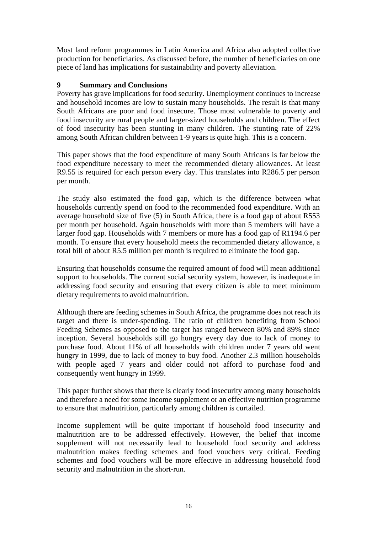Most land reform programmes in Latin America and Africa also adopted collective production for beneficiaries. As discussed before, the number of beneficiaries on one piece of land has implications for sustainability and poverty alleviation.

## **9 Summary and Conclusions**

Poverty has grave implications for food security. Unemployment continues to increase and household incomes are low to sustain many households. The result is that many South Africans are poor and food insecure. Those most vulnerable to poverty and food insecurity are rural people and larger-sized households and children. The effect of food insecurity has been stunting in many children. The stunting rate of 22% among South African children between 1-9 years is quite high. This is a concern.

This paper shows that the food expenditure of many South Africans is far below the food expenditure necessary to meet the recommended dietary allowances. At least R9.55 is required for each person every day. This translates into R286.5 per person per month.

The study also estimated the food gap, which is the difference between what households currently spend on food to the recommended food expenditure. With an average household size of five (5) in South Africa, there is a food gap of about R553 per month per household. Again households with more than 5 members will have a larger food gap. Households with 7 members or more has a food gap of R1194.6 per month. To ensure that every household meets the recommended dietary allowance, a total bill of about R5.5 million per month is required to eliminate the food gap.

Ensuring that households consume the required amount of food will mean additional support to households. The current social security system, however, is inadequate in addressing food security and ensuring that every citizen is able to meet minimum dietary requirements to avoid malnutrition.

Although there are feeding schemes in South Africa, the programme does not reach its target and there is under-spending. The ratio of children benefiting from School Feeding Schemes as opposed to the target has ranged between 80% and 89% since inception. Several households still go hungry every day due to lack of money to purchase food. About 11% of all households with children under 7 years old went hungry in 1999, due to lack of money to buy food. Another 2.3 million households with people aged 7 years and older could not afford to purchase food and consequently went hungry in 1999.

This paper further shows that there is clearly food insecurity among many households and therefore a need for some income supplement or an effective nutrition programme to ensure that malnutrition, particularly among children is curtailed.

Income supplement will be quite important if household food insecurity and malnutrition are to be addressed effectively. However, the belief that income supplement will not necessarily lead to household food security and address malnutrition makes feeding schemes and food vouchers very critical. Feeding schemes and food vouchers will be more effective in addressing household food security and malnutrition in the short-run.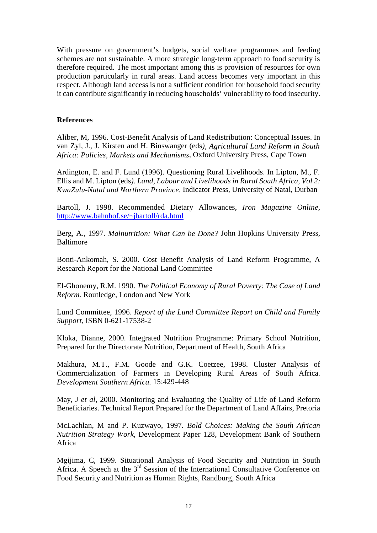With pressure on government's budgets, social welfare programmes and feeding schemes are not sustainable. A more strategic long-term approach to food security is therefore required. The most important among this is provision of resources for own production particularly in rural areas. Land access becomes very important in this respect. Although land access is not a sufficient condition for household food security it can contribute significantly in reducing households' vulnerability to food insecurity.

#### **References**

Aliber, M, 1996. Cost-Benefit Analysis of Land Redistribution: Conceptual Issues. In van Zyl, J., J. Kirsten and H. Binswanger (eds*), Agricultural Land Reform in South Africa: Policies, Markets and Mechanisms*, Oxford University Press, Cape Town

Ardington, E. and F. Lund (1996). Questioning Rural Livelihoods. In Lipton, M., F. Ellis and M. Lipton (eds*). Land, Labour and Livelihoods in Rural South Africa, Vol 2: KwaZulu-Natal and Northern Province.* Indicator Press, University of Natal, Durban

Bartoll, J. 1998. Recommended Dietary Allowances, *Iron Magazine Online,* http://www.bahnhof.se/~jbartoll/rda.html

Berg, A., 1997. *Malnutrition: What Can be Done?* John Hopkins University Press, Baltimore

Bonti-Ankomah, S. 2000. Cost Benefit Analysis of Land Reform Programme, A Research Report for the National Land Committee

El-Ghonemy, R.M. 1990. *The Political Economy of Rural Poverty: The Case of Land Reform.* Routledge, London and New York

Lund Committee, 1996. *Report of the Lund Committee Report on Child and Family Support*, ISBN 0-621-17538-2

Kloka, Dianne, 2000. Integrated Nutrition Programme: Primary School Nutrition, Prepared for the Directorate Nutrition, Department of Health, South Africa

Makhura, M.T., F.M. Goode and G.K. Coetzee, 1998. Cluster Analysis of Commercialization of Farmers in Developing Rural Areas of South Africa*. Development Southern Africa.* 15:429-448

May, J *et al*, 2000. Monitoring and Evaluating the Quality of Life of Land Reform Beneficiaries. Technical Report Prepared for the Department of Land Affairs, Pretoria

McLachlan, M and P. Kuzwayo, 1997*. Bold Choices: Making the South African Nutrition Strategy Work*, Development Paper 128, Development Bank of Southern Africa

Mgijima, C, 1999. Situational Analysis of Food Security and Nutrition in South Africa. A Speech at the  $3<sup>rd</sup>$  Session of the International Consultative Conference on Food Security and Nutrition as Human Rights, Randburg, South Africa